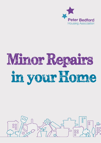

# Minor Repairs in your Home

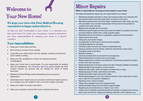### **Welcome to**



# **Your New Home!**

### We hope your time with Peter Bedford Housing Association is happy and productive.

*To help you feel comfortable in your home, it is important you take good care of it. Under your occupancy / tenancy agreement you have responsibilities for keeping your home in a decent condition.*

### Your responsibilities:

- Keep your home clean and tidy,
- Don't bring in furniture from outside,
- Look after your drains (Don't put fat, nappies, sanitary products etc. down toilets or sinks),
- Keep your flat ventilated so it does not develop mould & condensation,
- Keep your home tidy to avoid pests. You are responsible for dealing with ant infestations. Our **Property Services guide** details the Pest Control service we provide (we do charge for some of these services),
- Replace furniture/ fittings unless indicated by your occupancy agreement,
- Undertake minor repairs (we can provide an enhanced repairs service at a charge if you are unable to carry out minor repairs yourself),
- Keep your boiler on as per instruction,
- Keep your property insured with home contents insurance.

### **Minor Repairs**

#### **PBHA is responsible for carrying out some repairs in your home.**

The below list details the repairs you are responsible for as a tenant:

- Maintaining draught excluders to doors and windows (Not to be confused with intumescent strips and smoke seals which are part of a fire door),
- Maintaining external door furniture-hinges, weatherboard, letter plate, spy-hole, (the association may consider replacement of these items if the problem is caused by fair wear and tear),
- Replace lock changes due to lost keys.
- Maintaining garden gates and fencing (unless the defect is caused by fair wear and tear),washing clothes lines / poles & garden paths,
- Maintaining doors and shelves to cupboards supplied by the Association,
- Oiling internal door locks,
- Oiling door and window hinges,
- Changing like for like fuses on items we have supplied,
- Changing batteries for doorbells,
- Cleaning cooker hob and oven where exceptionally dirty,
- Cleaning extractor fans for kitchen, bathroom and kitchen cooker hood,
- Changing cooker hood filters,
- Bleeding radiators,
- Cleaning windows (this would need to be exceptional),
- Repair/replacement of internal door ironmongery,
- Repair/replacement of kitchen and bathroom vinyl flooring (unless the problem is due to fair wear and tear),
- Repair/replacement of window curtain and rails (if already installed in property),
- Replacing light bulbs (except in common parts),
- Replacing toilet seats, toilet roll holders and towel rails or rings,
- Replacing plugs for sinks, wash basins and baths,
- Replacing shower hoses and shower heads,
- Removing blockages to your sink, washing machine, toilet, wash basin, shower tray or bath (if not caused by installation),
- Repairing minor cracks to plaster,
- Fitting extra mastered locks and cupboard locks,
- Fitting doorbells, fitting locks and bolts to garden gates,
- Repairing any improvements you make to your home,
- Getting rid of unwanted household goods and storage in property and common parts, such as furniture, fridges and washing machines, which belong to you.

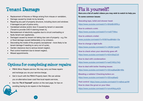## **Tenant Damage**

- Replacement of fixtures or fittings arising from misuse or vandalism,
- Damage caused by break ins by tenants,
- Repairing any part of property structure, including doors and windows if damaged as part of police entry,
- Vandalised window and/or door if caused by tenant or associate (Tenant to provide CAD if claiming break in),
- Reinstatement of electricity supplies due to circuit overloading or faulty tenant own appliances,
- Damaged caused by tenant not taking due care of property e.g. fire or flood damage caused deliberately or by omission,
- Decorating the inside of the property (exceptional more likely to be tenant damage if needing to carry out of cycle),
- Garden clearance due to serious tenant neglect,
- Pest control treatment due to tenant neglect,
- Missed appointments.

### Options for completing minor repairs:

- PBHA Minor Repairs service: We may carry out these repairs and recharge you via your service charge,
- Get in touch with the PBHA Property team: We can advise you on alternative lower cost/ free local repairs services,
- See the **'Fix it Yourself'** section on the next page, for tips on
	- avoiding having to do repairs in the firstplace.

# **Fix it yourself!**

**Here are a list of useful videos you may wish to watch to help you fix some common issues:**

**Descaling taps, toilet and shower head:** 

https://www.youtube.com/watch?v=6HzkBnWfHLo

**How to unblock a sink:** 

https://www.youtube.com/watch?v=rraS7Tt9Ioc

**How to unblock a toilet:** 

/www.youtube.com/watch?v=fV56YkzoBHk&t=10s

**How to change a light bulb:** 

https://www.youtube.com/watch?v=JW2Br1yjwZA

**How to check when your electricity goes off:** 

https://www.youtube.com/watch?v=tGVnStiqCU0

**How to deal with condensation**:

https://www.youtube.com/watch?v=eelCVW2y7AQ

**How to deal with boiler /heating issues**:

https://www.youtube.com/watch?v=2l2vsqi6aaQ&t=66s

**Bleeding a radiator/ Checking boilers on:**  https://www.youtube.com/watch?v=2l2vsqi6aaQ

**Pest control**: https://www.youtube.com/watch?v=eljfxzLspVM **How to clean the grout on your tiles:** 

https://www.youtube.com/watch?v=xmnKWqLphZA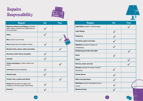### Repairs Responsibility



| <b>Repair</b>                                                                                             | Us | You |
|-----------------------------------------------------------------------------------------------------------|----|-----|
| Bathroom fixtures and fittings (including<br>baths, basins, showers and toilets that we<br>have provided) |    |     |
| <b>Baths</b>                                                                                              |    |     |
| <b>Bins</b> (only for your home)                                                                          |    |     |
| <b>Bins</b> (shared bins and rubbish chutes)                                                              |    |     |
| Blocked sinks, basins, baths and toilets                                                                  |    |     |
| Boundary walls, fences and gates                                                                          |    |     |
| <b>Ceilings</b>                                                                                           |    |     |
| Chains and plugs (on baths, basins and<br>sinks)                                                          |    |     |
| <b>Chimneys</b> (except sweeping)                                                                         |    |     |
| <b>Shared areas</b>                                                                                       |    |     |
| Curtain rails, curtains and blinds                                                                        |    |     |
| Damp (We will need to inspect your<br>property to find the cause of the damp)                             |    |     |
| <b>Kitchens</b>                                                                                           |    |     |



| <b>Repair</b>                                        | <b>Us</b> | You |
|------------------------------------------------------|-----------|-----|
| ight Bulbs (except in shared areas)                  |           |     |
| ight fittings                                        |           |     |
| Plastering                                           |           |     |
| <b>Plumbing repairs and leaks</b>                    |           |     |
| Radiators (except for letting out<br>air/bleeding)   |           |     |
| Relighting gas boiler pilot light                    |           |     |
| <b>Roofs</b>                                         |           |     |
| <b>Sheds</b>                                         |           |     |
| Shelves, hooks and rails                             |           |     |
| Showers (except for shower hoses &<br>descaling)     |           |     |
| Smoke alarms                                         |           |     |
| Stairs and bannisters                                |           |     |
| <b>Norktops</b> (except if damaged by burn<br>narks) |           |     |
| <b>Nindow frames</b>                                 |           |     |

 $\begin{bmatrix} 7 \end{bmatrix}$